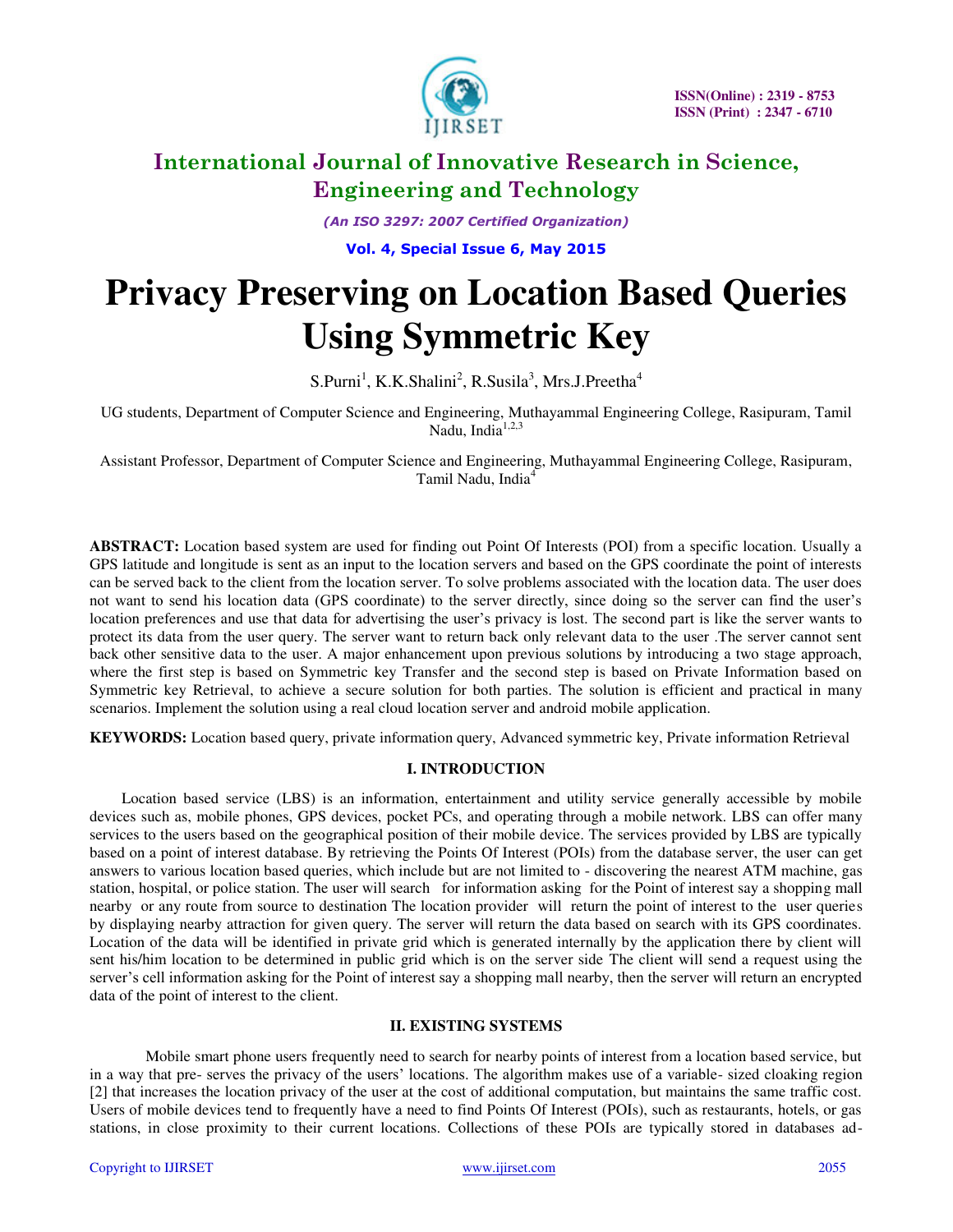

*(An ISO 3297: 2007 Certified Organization)* 

**Vol. 4, Special Issue 6, May 2015**

# **Privacy Preserving on Location Based Queries Using Symmetric Key**

 $S.Purni<sup>1</sup>, K.K.Shalini<sup>2</sup>, R.Susila<sup>3</sup>, Mrs.J.Preetha<sup>4</sup>$ 

UG students, Department of Computer Science and Engineering, Muthayammal Engineering College, Rasipuram, Tamil Nadu, India<sup>1,2,3</sup>

Assistant Professor, Department of Computer Science and Engineering, Muthayammal Engineering College, Rasipuram, Tamil Nadu, India<sup>4</sup>

**ABSTRACT:** Location based system are used for finding out Point Of Interests (POI) from a specific location. Usually a GPS latitude and longitude is sent as an input to the location servers and based on the GPS coordinate the point of interests can be served back to the client from the location server. To solve problems associated with the location data. The user does not want to send his location data (GPS coordinate) to the server directly, since doing so the server can find the user's location preferences and use that data for advertising the user's privacy is lost. The second part is like the server wants to protect its data from the user query. The server want to return back only relevant data to the user .The server cannot sent back other sensitive data to the user. A major enhancement upon previous solutions by introducing a two stage approach, where the first step is based on Symmetric key Transfer and the second step is based on Private Information based on Symmetric key Retrieval, to achieve a secure solution for both parties. The solution is efficient and practical in many scenarios. Implement the solution using a real cloud location server and android mobile application.

**KEYWORDS:** Location based query, private information query, Advanced symmetric key, Private information Retrieval

### **I. INTRODUCTION**

Location based service (LBS) is an information, entertainment and utility service generally accessible by mobile devices such as, mobile phones, GPS devices, pocket PCs, and operating through a mobile network. LBS can offer many services to the users based on the geographical position of their mobile device. The services provided by LBS are typically based on a point of interest database. By retrieving the Points Of Interest (POIs) from the database server, the user can get answers to various location based queries, which include but are not limited to - discovering the nearest ATM machine, gas station, hospital, or police station. The user will search for information asking for the Point of interest say a shopping mall nearby or any route from source to destination The location provider will return the point of interest to the user queries by displaying nearby attraction for given query. The server will return the data based on search with its GPS coordinates. Location of the data will be identified in private grid which is generated internally by the application there by client will sent his/him location to be determined in public grid which is on the server side The client will send a request using the server's cell information asking for the Point of interest say a shopping mall nearby, then the server will return an encrypted data of the point of interest to the client.

### **II. EXISTING SYSTEMS**

Mobile smart phone users frequently need to search for nearby points of interest from a location based service, but in a way that pre- serves the privacy of the users' locations. The algorithm makes use of a variable- sized cloaking region [2] that increases the location privacy of the user at the cost of additional computation, but maintains the same traffic cost. Users of mobile devices tend to frequently have a need to find Points Of Interest (POIs), such as restaurants, hotels, or gas stations, in close proximity to their current locations. Collections of these POIs are typically stored in databases ad-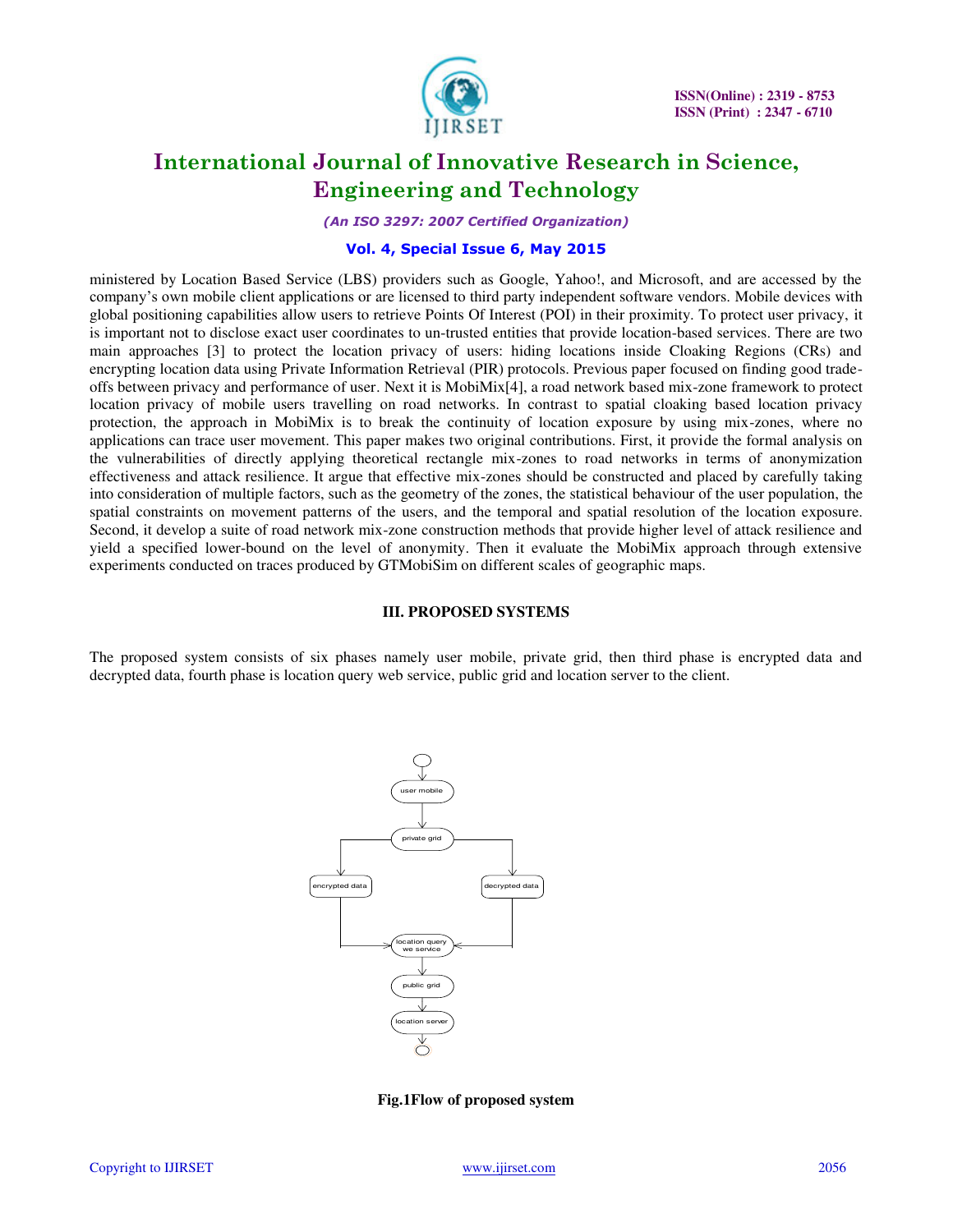

*(An ISO 3297: 2007 Certified Organization)* 

### **Vol. 4, Special Issue 6, May 2015**

ministered by Location Based Service (LBS) providers such as Google, Yahoo!, and Microsoft, and are accessed by the company's own mobile client applications or are licensed to third party independent software vendors. Mobile devices with global positioning capabilities allow users to retrieve Points Of Interest (POI) in their proximity. To protect user privacy, it is important not to disclose exact user coordinates to un-trusted entities that provide location-based services. There are two main approaches [3] to protect the location privacy of users: hiding locations inside Cloaking Regions (CRs) and encrypting location data using Private Information Retrieval (PIR) protocols. Previous paper focused on finding good tradeoffs between privacy and performance of user. Next it is MobiMix[4], a road network based mix-zone framework to protect location privacy of mobile users travelling on road networks. In contrast to spatial cloaking based location privacy protection, the approach in MobiMix is to break the continuity of location exposure by using mix-zones, where no applications can trace user movement. This paper makes two original contributions. First, it provide the formal analysis on the vulnerabilities of directly applying theoretical rectangle mix-zones to road networks in terms of anonymization effectiveness and attack resilience. It argue that effective mix-zones should be constructed and placed by carefully taking into consideration of multiple factors, such as the geometry of the zones, the statistical behaviour of the user population, the spatial constraints on movement patterns of the users, and the temporal and spatial resolution of the location exposure. Second, it develop a suite of road network mix-zone construction methods that provide higher level of attack resilience and yield a specified lower-bound on the level of anonymity. Then it evaluate the MobiMix approach through extensive experiments conducted on traces produced by GTMobiSim on different scales of geographic maps.

#### **III. PROPOSED SYSTEMS**

The proposed system consists of six phases namely user mobile, private grid, then third phase is encrypted data and decrypted data, fourth phase is location query web service, public grid and location server to the client.



**Fig.1Flow of proposed system**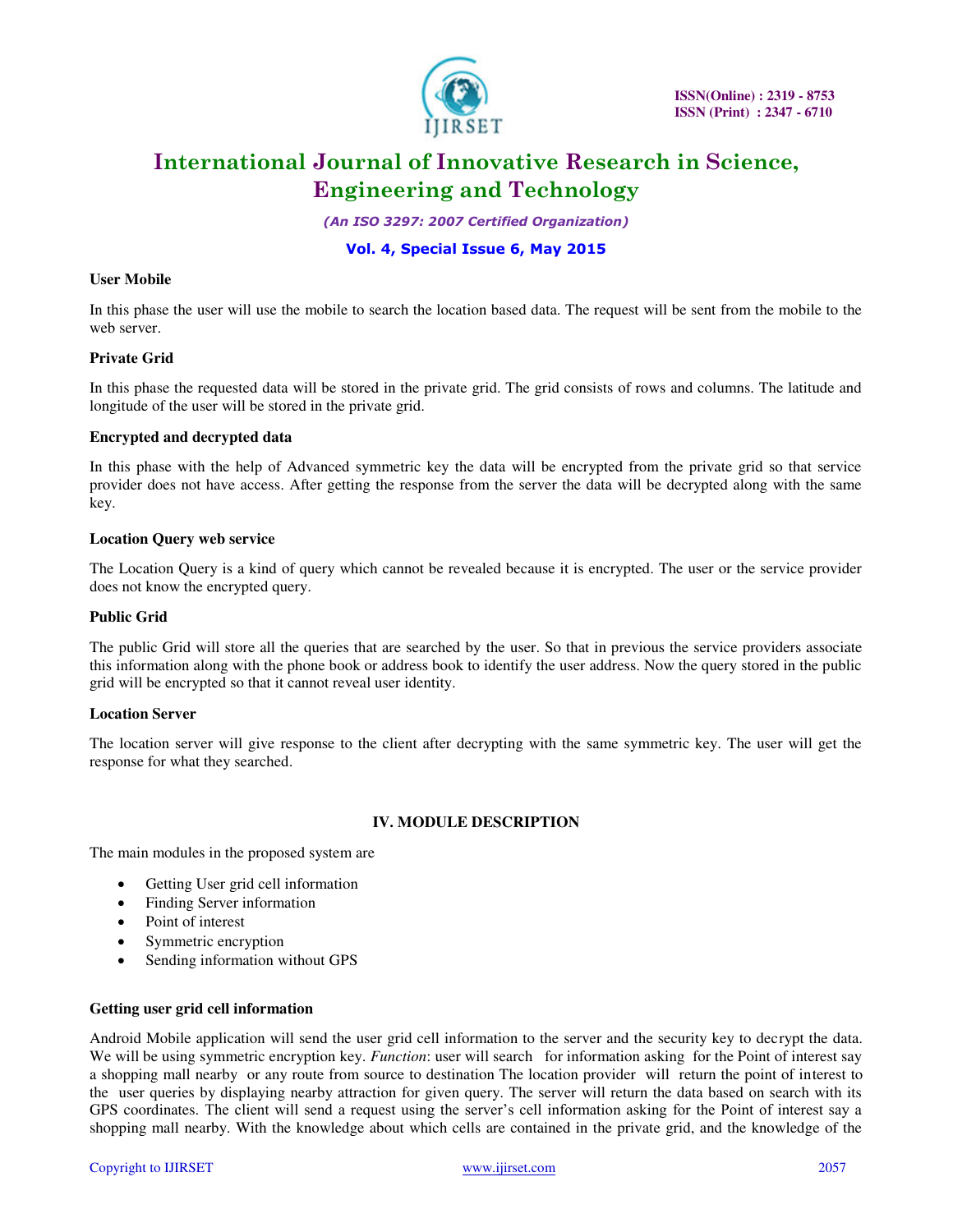

*(An ISO 3297: 2007 Certified Organization)* 

### **Vol. 4, Special Issue 6, May 2015**

### **User Mobile**

In this phase the user will use the mobile to search the location based data. The request will be sent from the mobile to the web server.

### **Private Grid**

In this phase the requested data will be stored in the private grid. The grid consists of rows and columns. The latitude and longitude of the user will be stored in the private grid.

### **Encrypted and decrypted data**

In this phase with the help of Advanced symmetric key the data will be encrypted from the private grid so that service provider does not have access. After getting the response from the server the data will be decrypted along with the same key.

### **Location Query web service**

The Location Query is a kind of query which cannot be revealed because it is encrypted. The user or the service provider does not know the encrypted query.

### **Public Grid**

The public Grid will store all the queries that are searched by the user. So that in previous the service providers associate this information along with the phone book or address book to identify the user address. Now the query stored in the public grid will be encrypted so that it cannot reveal user identity.

### **Location Server**

The location server will give response to the client after decrypting with the same symmetric key. The user will get the response for what they searched.

### **IV. MODULE DESCRIPTION**

The main modules in the proposed system are

- Getting User grid cell information
- Finding Server information
- Point of interest
- Symmetric encryption
- Sending information without GPS

### **Getting user grid cell information**

Android Mobile application will send the user grid cell information to the server and the security key to decrypt the data. We will be using symmetric encryption key. *Function*: user will search for information asking for the Point of interest say a shopping mall nearby or any route from source to destination The location provider will return the point of interest to the user queries by displaying nearby attraction for given query. The server will return the data based on search with its GPS coordinates. The client will send a request using the server's cell information asking for the Point of interest say a shopping mall nearby. With the knowledge about which cells are contained in the private grid, and the knowledge of the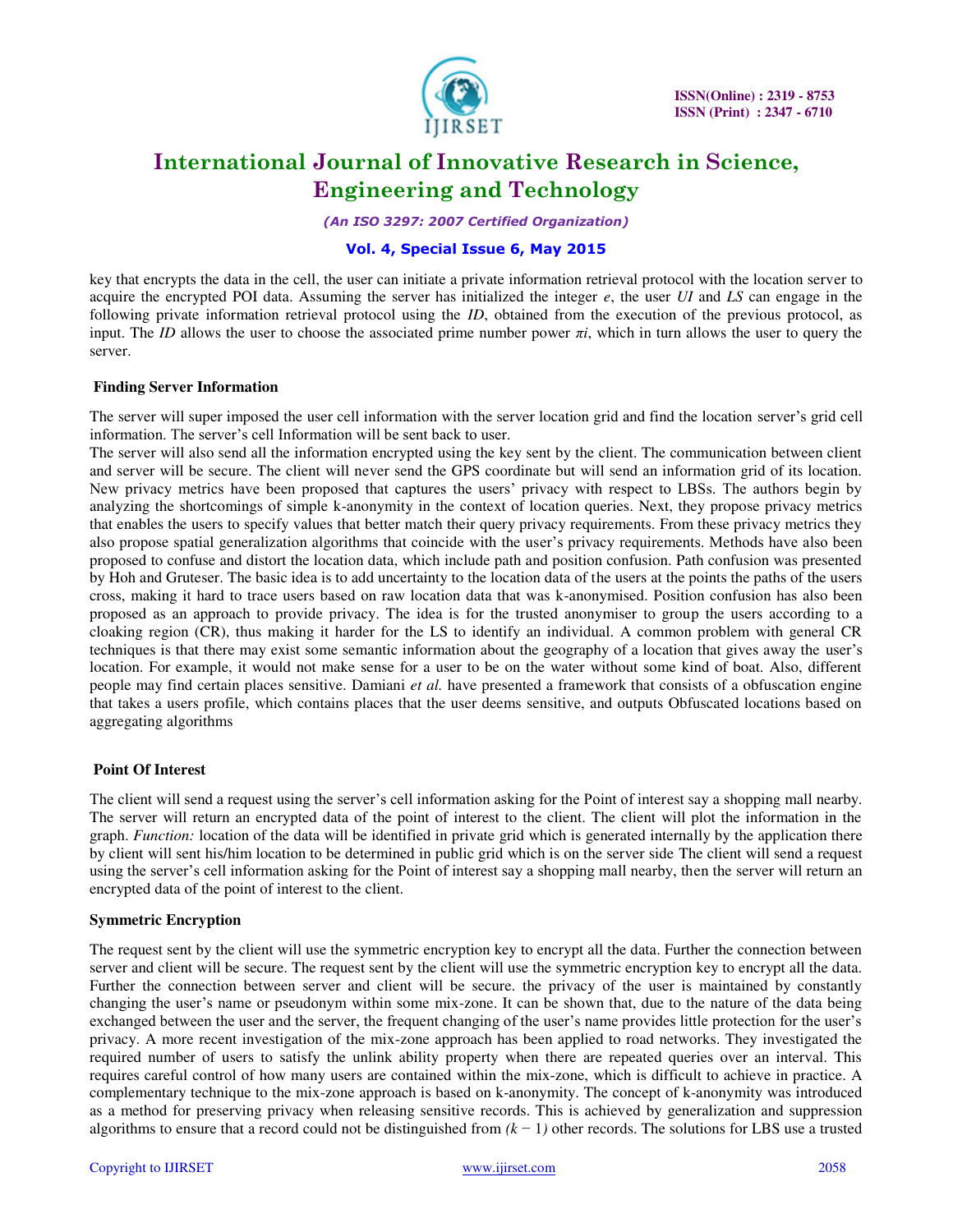

*(An ISO 3297: 2007 Certified Organization)* 

## **Vol. 4, Special Issue 6, May 2015**

key that encrypts the data in the cell, the user can initiate a private information retrieval protocol with the location server to acquire the encrypted POI data. Assuming the server has initialized the integer *e*, the user *UI* and *LS* can engage in the following private information retrieval protocol using the *ID*, obtained from the execution of the previous protocol, as input. The *ID* allows the user to choose the associated prime number power  $\pi i$ , which in turn allows the user to query the server.

### **Finding Server Information**

The server will super imposed the user cell information with the server location grid and find the location server's grid cell information. The server's cell Information will be sent back to user.

The server will also send all the information encrypted using the key sent by the client. The communication between client and server will be secure. The client will never send the GPS coordinate but will send an information grid of its location. New privacy metrics have been proposed that captures the users' privacy with respect to LBSs. The authors begin by analyzing the shortcomings of simple k-anonymity in the context of location queries. Next, they propose privacy metrics that enables the users to specify values that better match their query privacy requirements. From these privacy metrics they also propose spatial generalization algorithms that coincide with the user's privacy requirements. Methods have also been proposed to confuse and distort the location data, which include path and position confusion. Path confusion was presented by Hoh and Gruteser. The basic idea is to add uncertainty to the location data of the users at the points the paths of the users cross, making it hard to trace users based on raw location data that was k-anonymised. Position confusion has also been proposed as an approach to provide privacy. The idea is for the trusted anonymiser to group the users according to a cloaking region (CR), thus making it harder for the LS to identify an individual. A common problem with general CR techniques is that there may exist some semantic information about the geography of a location that gives away the user's location. For example, it would not make sense for a user to be on the water without some kind of boat. Also, different people may find certain places sensitive. Damiani *et al.* have presented a framework that consists of a obfuscation engine that takes a users profile, which contains places that the user deems sensitive, and outputs Obfuscated locations based on aggregating algorithms

### **Point Of Interest**

The client will send a request using the server's cell information asking for the Point of interest say a shopping mall nearby. The server will return an encrypted data of the point of interest to the client. The client will plot the information in the graph. *Function:* location of the data will be identified in private grid which is generated internally by the application there by client will sent his/him location to be determined in public grid which is on the server side The client will send a request using the server's cell information asking for the Point of interest say a shopping mall nearby, then the server will return an encrypted data of the point of interest to the client.

### **Symmetric Encryption**

The request sent by the client will use the symmetric encryption key to encrypt all the data. Further the connection between server and client will be secure. The request sent by the client will use the symmetric encryption key to encrypt all the data. Further the connection between server and client will be secure. the privacy of the user is maintained by constantly changing the user's name or pseudonym within some mix-zone. It can be shown that, due to the nature of the data being exchanged between the user and the server, the frequent changing of the user's name provides little protection for the user's privacy. A more recent investigation of the mix-zone approach has been applied to road networks. They investigated the required number of users to satisfy the unlink ability property when there are repeated queries over an interval. This requires careful control of how many users are contained within the mix-zone, which is difficult to achieve in practice. A complementary technique to the mix-zone approach is based on k-anonymity. The concept of k-anonymity was introduced as a method for preserving privacy when releasing sensitive records. This is achieved by generalization and suppression algorithms to ensure that a record could not be distinguished from *(k* − 1*)* other records. The solutions for LBS use a trusted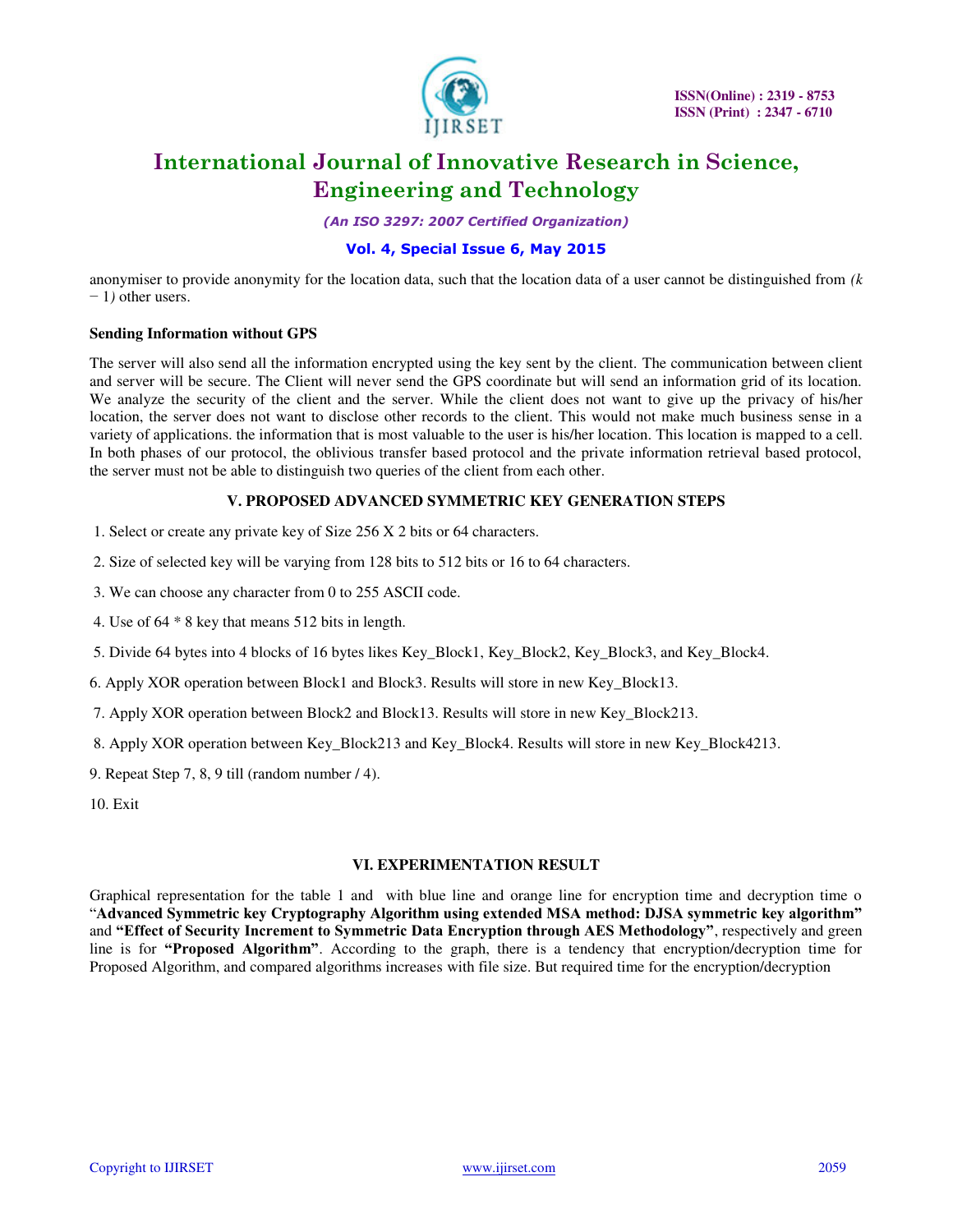

*(An ISO 3297: 2007 Certified Organization)* 

# **Vol. 4, Special Issue 6, May 2015**

anonymiser to provide anonymity for the location data, such that the location data of a user cannot be distinguished from *(k*  − 1*)* other users.

### **Sending Information without GPS**

The server will also send all the information encrypted using the key sent by the client. The communication between client and server will be secure. The Client will never send the GPS coordinate but will send an information grid of its location. We analyze the security of the client and the server. While the client does not want to give up the privacy of his/her location, the server does not want to disclose other records to the client. This would not make much business sense in a variety of applications. the information that is most valuable to the user is his/her location. This location is mapped to a cell. In both phases of our protocol, the oblivious transfer based protocol and the private information retrieval based protocol, the server must not be able to distinguish two queries of the client from each other.

### **V. PROPOSED ADVANCED SYMMETRIC KEY GENERATION STEPS**

- 1. Select or create any private key of Size 256 X 2 bits or 64 characters.
- 2. Size of selected key will be varying from 128 bits to 512 bits or 16 to 64 characters.
- 3. We can choose any character from 0 to 255 ASCII code.
- 4. Use of 64 \* 8 key that means 512 bits in length.
- 5. Divide 64 bytes into 4 blocks of 16 bytes likes Key\_Block1, Key\_Block2, Key\_Block3, and Key\_Block4.
- 6. Apply XOR operation between Block1 and Block3. Results will store in new Key\_Block13.
- 7. Apply XOR operation between Block2 and Block13. Results will store in new Key\_Block213.
- 8. Apply XOR operation between Key\_Block213 and Key\_Block4. Results will store in new Key\_Block4213.
- 9. Repeat Step 7, 8, 9 till (random number / 4).

10. Exit

### **VI. EXPERIMENTATION RESULT**

Graphical representation for the table 1 and with blue line and orange line for encryption time and decryption time o "**Advanced Symmetric key Cryptography Algorithm using extended MSA method: DJSA symmetric key algorithm"**  and **"Effect of Security Increment to Symmetric Data Encryption through AES Methodology"**, respectively and green line is for **"Proposed Algorithm"**. According to the graph, there is a tendency that encryption/decryption time for Proposed Algorithm, and compared algorithms increases with file size. But required time for the encryption/decryption